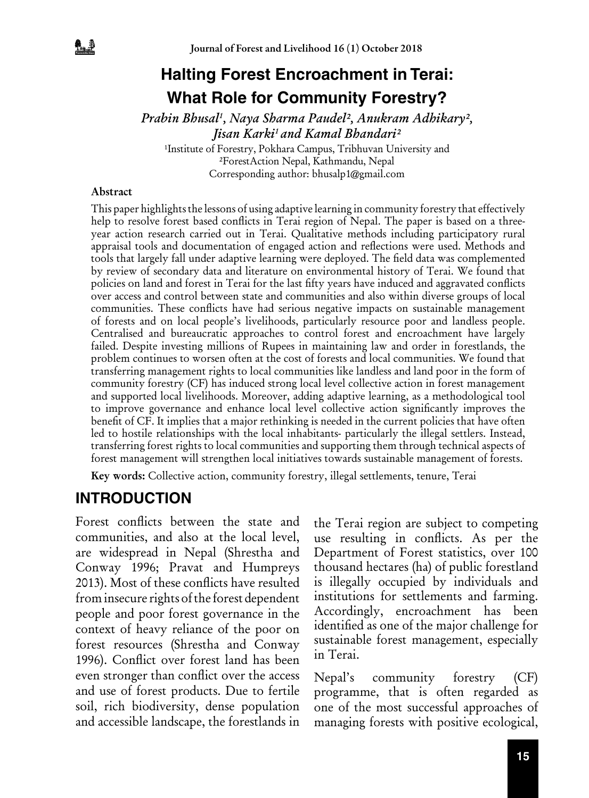# **Halting Forest Encroachment in Terai: What Role for Community Forestry?**

*Prabin Bhusal1 , Naya Sharma Paudel², Anukram Adhikary², Jisan Karki1 and Kamal Bhandari²*

<sup>1</sup>Institute of Forestry, Pokhara Campus, Tribhuvan University and ²ForestAction Nepal, Kathmandu, Nepal Corresponding author: bhusalp1@gmail.com

#### Abstract

This paper highlights the lessons of using adaptive learning in community forestry that effectively help to resolve forest based conflicts in Terai region of Nepal. The paper is based on a threeyear action research carried out in Terai. Qualitative methods including participatory rural appraisal tools and documentation of engaged action and reflections were used. Methods and tools that largely fall under adaptive learning were deployed. The field data was complemented by review of secondary data and literature on environmental history of Terai. We found that policies on land and forest in Terai for the last fifty years have induced and aggravated conflicts over access and control between state and communities and also within diverse groups of local communities. These conflicts have had serious negative impacts on sustainable management of forests and on local people's livelihoods, particularly resource poor and landless people. Centralised and bureaucratic approaches to control forest and encroachment have largely failed. Despite investing millions of Rupees in maintaining law and order in forestlands, the problem continues to worsen often at the cost of forests and local communities. We found that transferring management rights to local communities like landless and land poor in the form of community forestry (CF) has induced strong local level collective action in forest management and supported local livelihoods. Moreover, adding adaptive learning, as a methodological tool to improve governance and enhance local level collective action significantly improves the benefit of CF. It implies that a major rethinking is needed in the current policies that have often led to hostile relationships with the local inhabitants- particularly the illegal settlers. Instead, transferring forest rights to local communities and supporting them through technical aspects of forest management will strengthen local initiatives towards sustainable management of forests.

Key words: Collective action, community forestry, illegal settlements, tenure, Terai

### **INTRODUCTION**

Forest conflicts between the state and communities, and also at the local level, are widespread in Nepal (Shrestha and Conway 1996; Pravat and Humpreys 2013). Most of these conflicts have resulted from insecure rights of the forest dependent people and poor forest governance in the context of heavy reliance of the poor on forest resources (Shrestha and Conway 1996). Conflict over forest land has been even stronger than conflict over the access and use of forest products. Due to fertile soil, rich biodiversity, dense population and accessible landscape, the forestlands in the Terai region are subject to competing use resulting in conflicts. As per the Department of Forest statistics, over 100 thousand hectares (ha) of public forestland is illegally occupied by individuals and institutions for settlements and farming. Accordingly, encroachment has been identified as one of the major challenge for sustainable forest management, especially in Terai.

Nepal's community forestry (CF) programme, that is often regarded as one of the most successful approaches of managing forests with positive ecological,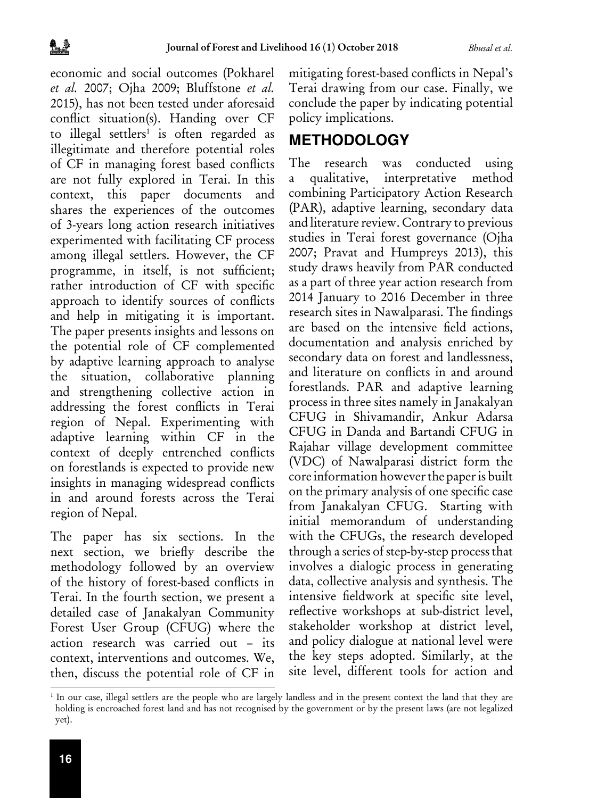economic and social outcomes (Pokharel *et al.* 2007; Ojha 2009; Bluffstone *et al.* 2015), has not been tested under aforesaid conflict situation(s). Handing over CF to illegal settlers<sup>1</sup> is often regarded as illegitimate and therefore potential roles of CF in managing forest based conflicts are not fully explored in Terai. In this context, this paper documents and shares the experiences of the outcomes of 3-years long action research initiatives experimented with facilitating CF process among illegal settlers. However, the CF programme, in itself, is not sufficient; rather introduction of CF with specific approach to identify sources of conflicts and help in mitigating it is important. The paper presents insights and lessons on the potential role of CF complemented by adaptive learning approach to analyse the situation, collaborative planning and strengthening collective action in addressing the forest conflicts in Terai region of Nepal. Experimenting with adaptive learning within CF in the context of deeply entrenched conflicts on forestlands is expected to provide new insights in managing widespread conflicts in and around forests across the Terai region of Nepal.

The paper has six sections. In the next section, we briefly describe the methodology followed by an overview of the history of forest-based conflicts in Terai. In the fourth section, we present a detailed case of Janakalyan Community Forest User Group (CFUG) where the action research was carried out – its context, interventions and outcomes. We, then, discuss the potential role of CF in mitigating forest-based conflicts in Nepal's Terai drawing from our case. Finally, we conclude the paper by indicating potential policy implications.

### **METHODOLOGY**

The research was conducted using a qualitative, interpretative method combining Participatory Action Research (PAR), adaptive learning, secondary data and literature review. Contrary to previous studies in Terai forest governance (Ojha 2007; Pravat and Humpreys 2013), this study draws heavily from PAR conducted as a part of three year action research from 2014 January to 2016 December in three research sites in Nawalparasi. The findings are based on the intensive field actions, documentation and analysis enriched by secondary data on forest and landlessness, and literature on conflicts in and around forestlands. PAR and adaptive learning process in three sites namely in Janakalyan CFUG in Shivamandir, Ankur Adarsa CFUG in Danda and Bartandi CFUG in Rajahar village development committee (VDC) of Nawalparasi district form the core information however the paper is built on the primary analysis of one specific case from Janakalyan CFUG. Starting with initial memorandum of understanding with the CFUGs, the research developed through a series of step-by-step process that involves a dialogic process in generating data, collective analysis and synthesis. The intensive fieldwork at specific site level, reflective workshops at sub-district level, stakeholder workshop at district level, and policy dialogue at national level were the key steps adopted. Similarly, at the site level, different tools for action and

<sup>1</sup> In our case, illegal settlers are the people who are largely landless and in the present context the land that they are holding is encroached forest land and has not recognised by the government or by the present laws (are not legalized yet).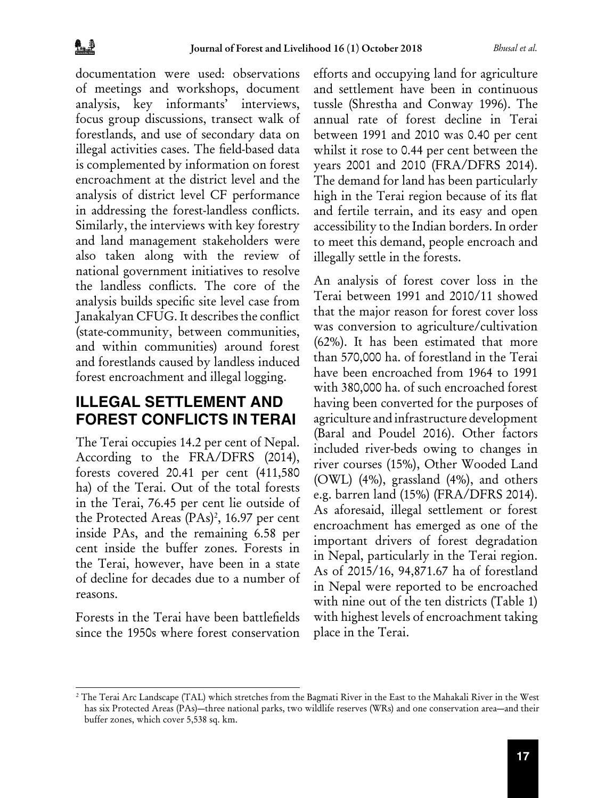documentation were used: observations of meetings and workshops, document analysis, key informants' interviews, focus group discussions, transect walk of forestlands, and use of secondary data on illegal activities cases. The field-based data is complemented by information on forest encroachment at the district level and the analysis of district level CF performance in addressing the forest-landless conflicts. Similarly, the interviews with key forestry and land management stakeholders were also taken along with the review of national government initiatives to resolve the landless conflicts. The core of the analysis builds specific site level case from Janakalyan CFUG. It describes the conflict (state-community, between communities, and within communities) around forest and forestlands caused by landless induced forest encroachment and illegal logging.

## **ILLEGAL SETTLEMENT AND FOREST CONFLICTS IN TERAI**

The Terai occupies 14.2 per cent of Nepal. According to the FRA/DFRS (2014), forests covered 20.41 per cent (411,580 ha) of the Terai. Out of the total forests in the Terai, 76.45 per cent lie outside of the Protected Areas (PAs)<sup>2</sup>, 16.97 per cent inside PAs, and the remaining 6.58 per cent inside the buffer zones. Forests in the Terai, however, have been in a state of decline for decades due to a number of reasons.

Forests in the Terai have been battlefields since the 1950s where forest conservation efforts and occupying land for agriculture and settlement have been in continuous tussle (Shrestha and Conway 1996). The annual rate of forest decline in Terai between 1991 and 2010 was 0.40 per cent whilst it rose to 0.44 per cent between the years 2001 and 2010 (FRA/DFRS 2014). The demand for land has been particularly high in the Terai region because of its flat and fertile terrain, and its easy and open accessibility to the Indian borders. In order to meet this demand, people encroach and illegally settle in the forests.

An analysis of forest cover loss in the Terai between 1991 and 2010/11 showed that the major reason for forest cover loss was conversion to agriculture/cultivation (62%). It has been estimated that more than 570,000 ha. of forestland in the Terai have been encroached from 1964 to 1991 with 380,000 ha. of such encroached forest having been converted for the purposes of agriculture and infrastructure development (Baral and Poudel 2016). Other factors included river-beds owing to changes in river courses (15%), Other Wooded Land (OWL) (4%), grassland (4%), and others e.g. barren land (15%) (FRA/DFRS 2014). As aforesaid, illegal settlement or forest encroachment has emerged as one of the important drivers of forest degradation in Nepal, particularly in the Terai region. As of 2015/16, 94,871.67 ha of forestland in Nepal were reported to be encroached with nine out of the ten districts (Table 1) with highest levels of encroachment taking place in the Terai.

<sup>2</sup> The Terai Arc Landscape (TAL) which stretches from the Bagmati River in the East to the Mahakali River in the West has six Protected Areas (PAs)—three national parks, two wildlife reserves (WRs) and one conservation area—and their buffer zones, which cover 5,538 sq. km.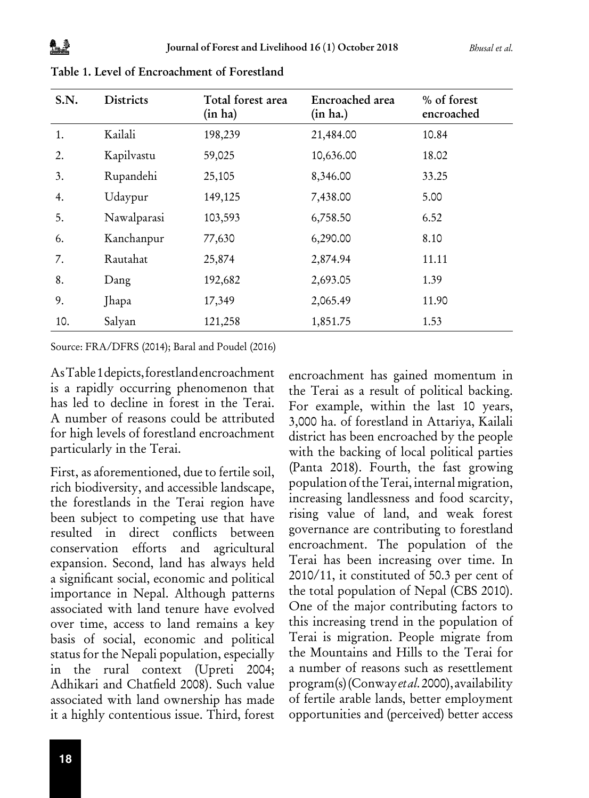| S.N. | <b>Districts</b> | Total forest area<br>(in ha) | Encroached area<br>(in ha.) | % of forest<br>encroached |  |
|------|------------------|------------------------------|-----------------------------|---------------------------|--|
| 1.   | Kailali          | 198,239                      | 21,484.00                   | 10.84                     |  |
| 2.   | Kapilvastu       | 59,025                       | 10,636.00                   | 18.02                     |  |
| 3.   | Rupandehi        | 25,105                       | 8,346.00                    | 33.25                     |  |
| 4.   | Udaypur          | 149,125                      | 7,438.00                    | 5.00                      |  |
| 5.   | Nawalparasi      | 103,593                      | 6,758.50                    | 6.52                      |  |
| 6.   | Kanchanpur       | 77,630                       | 6,290.00                    | 8.10                      |  |
| 7.   | Rautahat         | 25,874                       | 2,874.94                    | 11.11                     |  |
| 8.   | Dang             | 192,682                      | 2,693.05                    | 1.39                      |  |
| 9.   | Jhapa            | 17,349                       | 2,065.49                    | 11.90                     |  |
| 10.  | Salyan           | 121,258                      | 1,851.75                    | 1.53                      |  |

Table 1. Level of Encroachment of Forestland

Source: FRA/DFRS (2014); Baral and Poudel (2016)

As Table 1 depicts, forestland encroachment is a rapidly occurring phenomenon that has led to decline in forest in the Terai. A number of reasons could be attributed for high levels of forestland encroachment particularly in the Terai.

First, as aforementioned, due to fertile soil, rich biodiversity, and accessible landscape, the forestlands in the Terai region have been subject to competing use that have resulted in direct conflicts between conservation efforts and agricultural expansion. Second, land has always held a significant social, economic and political importance in Nepal. Although patterns associated with land tenure have evolved over time, access to land remains a key basis of social, economic and political status for the Nepali population, especially in the rural context (Upreti 2004; Adhikari and Chatfield 2008). Such value associated with land ownership has made it a highly contentious issue. Third, forest

encroachment has gained momentum in the Terai as a result of political backing. For example, within the last 10 years, 3,000 ha. of forestland in Attariya, Kailali district has been encroached by the people with the backing of local political parties (Panta 2018). Fourth, the fast growing population of the Terai, internal migration, increasing landlessness and food scarcity, rising value of land, and weak forest governance are contributing to forestland encroachment. The population of the Terai has been increasing over time. In 2010/11, it constituted of 50.3 per cent of the total population of Nepal (CBS 2010). One of the major contributing factors to this increasing trend in the population of Terai is migration. People migrate from the Mountains and Hills to the Terai for a number of reasons such as resettlement program(s) (Conway *et al.* 2000), availability of fertile arable lands, better employment opportunities and (perceived) better access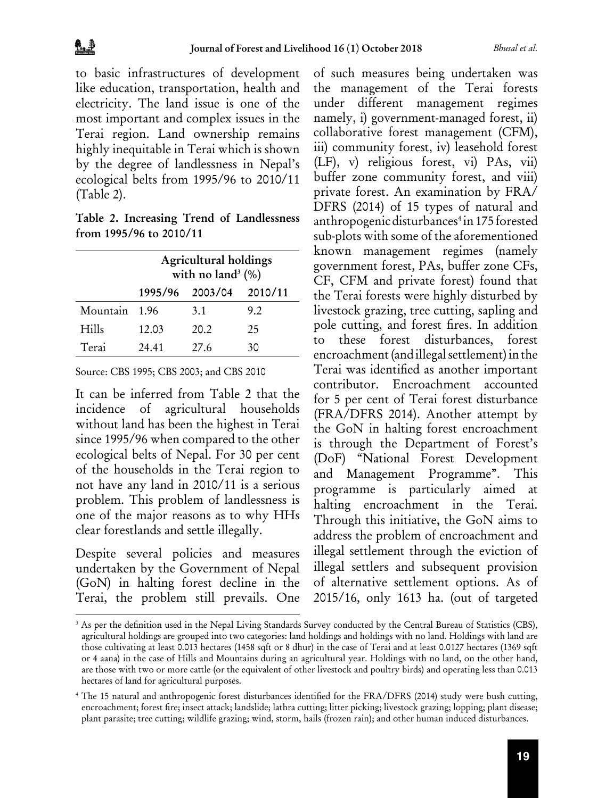to basic infrastructures of development like education, transportation, health and electricity. The land issue is one of the most important and complex issues in the Terai region. Land ownership remains highly inequitable in Terai which is shown by the degree of landlessness in Nepal's ecological belts from 1995/96 to 2010/11 (Table 2).

Table 2. Increasing Trend of Landlessness from 1995/96 to 2010/11

|          |                         | Agricultural holdings<br>with no land <sup>3</sup> $(\%)$ |     |  |  |  |  |  |
|----------|-------------------------|-----------------------------------------------------------|-----|--|--|--|--|--|
|          | 1995/96 2003/04 2010/11 |                                                           |     |  |  |  |  |  |
| Mountain | 1.96                    | 3.1                                                       | 9.2 |  |  |  |  |  |
| Hills    | 12.03                   | 20.2                                                      | 25  |  |  |  |  |  |
| Terai    | 24.41                   | 27.6                                                      | 30  |  |  |  |  |  |

Source: CBS 1995; CBS 2003; and CBS 2010

It can be inferred from Table 2 that the incidence of agricultural households without land has been the highest in Terai since 1995/96 when compared to the other ecological belts of Nepal. For 30 per cent of the households in the Terai region to not have any land in 2010/11 is a serious problem. This problem of landlessness is one of the major reasons as to why HHs clear forestlands and settle illegally.

Despite several policies and measures undertaken by the Government of Nepal (GoN) in halting forest decline in the Terai, the problem still prevails. One

of such measures being undertaken was the management of the Terai forests under different management regimes namely, i) government-managed forest, ii) collaborative forest management (CFM), iii) community forest, iv) leasehold forest (LF), v) religious forest, vi) PAs, vii) buffer zone community forest, and viii) private forest. An examination by FRA/ DFRS (2014) of 15 types of natural and anthropogenic disturbances<sup>4</sup> in 175 forested sub-plots with some of the aforementioned known management regimes (namely government forest, PAs, buffer zone CFs, CF, CFM and private forest) found that the Terai forests were highly disturbed by livestock grazing, tree cutting, sapling and pole cutting, and forest fires. In addition to these forest disturbances, forest encroachment (and illegal settlement) in the Terai was identified as another important contributor. Encroachment accounted for 5 per cent of Terai forest disturbance (FRA/DFRS 2014). Another attempt by the GoN in halting forest encroachment is through the Department of Forest's (DoF) "National Forest Development and Management Programme". This programme is particularly aimed at halting encroachment in the Terai. Through this initiative, the GoN aims to address the problem of encroachment and illegal settlement through the eviction of illegal settlers and subsequent provision of alternative settlement options. As of 2015/16, only 1613 ha. (out of targeted

<sup>&</sup>lt;sup>3</sup> As per the definition used in the Nepal Living Standards Survey conducted by the Central Bureau of Statistics (CBS), agricultural holdings are grouped into two categories: land holdings and holdings with no land. Holdings with land are those cultivating at least 0.013 hectares (1458 sqft or 8 dhur) in the case of Terai and at least 0.0127 hectares (1369 sqft or 4 aana) in the case of Hills and Mountains during an agricultural year. Holdings with no land, on the other hand, are those with two or more cattle (or the equivalent of other livestock and poultry birds) and operating less than 0.013 hectares of land for agricultural purposes.

<sup>4</sup> The 15 natural and anthropogenic forest disturbances identified for the FRA/DFRS (2014) study were bush cutting, encroachment; forest fire; insect attack; landslide; lathra cutting; litter picking; livestock grazing; lopping; plant disease; plant parasite; tree cutting; wildlife grazing; wind, storm, hails (frozen rain); and other human induced disturbances.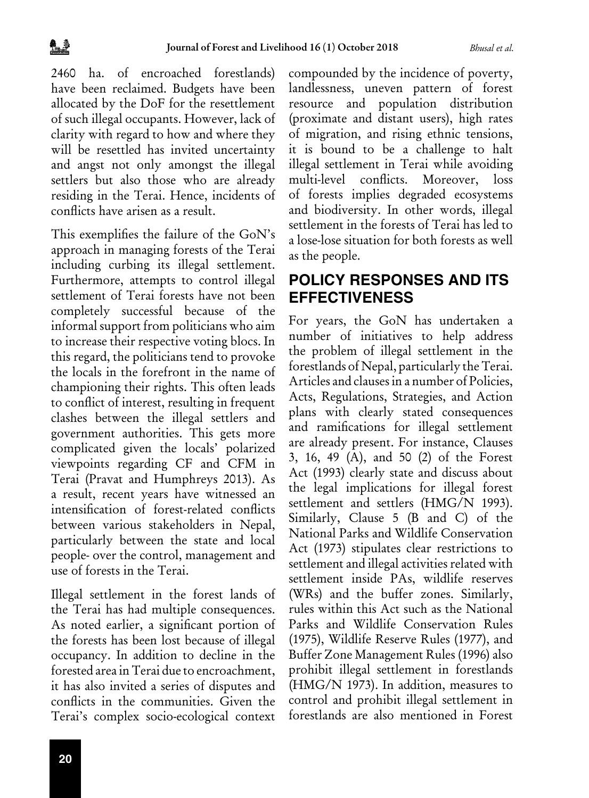2460 ha. of encroached forestlands) have been reclaimed. Budgets have been allocated by the DoF for the resettlement of such illegal occupants. However, lack of clarity with regard to how and where they will be resettled has invited uncertainty and angst not only amongst the illegal settlers but also those who are already residing in the Terai. Hence, incidents of conflicts have arisen as a result.

This exemplifies the failure of the GoN's approach in managing forests of the Terai including curbing its illegal settlement. Furthermore, attempts to control illegal settlement of Terai forests have not been completely successful because of the informal support from politicians who aim to increase their respective voting blocs. In this regard, the politicians tend to provoke the locals in the forefront in the name of championing their rights. This often leads to conflict of interest, resulting in frequent clashes between the illegal settlers and government authorities. This gets more complicated given the locals' polarized viewpoints regarding CF and CFM in Terai (Pravat and Humphreys 2013). As a result, recent years have witnessed an intensification of forest-related conflicts between various stakeholders in Nepal, particularly between the state and local people- over the control, management and use of forests in the Terai.

Illegal settlement in the forest lands of the Terai has had multiple consequences. As noted earlier, a significant portion of the forests has been lost because of illegal occupancy. In addition to decline in the forested area in Terai due to encroachment, it has also invited a series of disputes and conflicts in the communities. Given the Terai's complex socio-ecological context

compounded by the incidence of poverty, landlessness, uneven pattern of forest resource and population distribution (proximate and distant users), high rates of migration, and rising ethnic tensions, it is bound to be a challenge to halt illegal settlement in Terai while avoiding multi-level conflicts. Moreover, loss of forests implies degraded ecosystems and biodiversity. In other words, illegal settlement in the forests of Terai has led to a lose-lose situation for both forests as well as the people.

### **POLICY RESPONSES AND ITS EFFECTIVENESS**

For years, the GoN has undertaken a number of initiatives to help address the problem of illegal settlement in the forestlands of Nepal, particularly the Terai. Articles and clauses in a number of Policies, Acts, Regulations, Strategies, and Action plans with clearly stated consequences and ramifications for illegal settlement are already present. For instance, Clauses 3, 16, 49 (A), and 50 (2) of the Forest Act (1993) clearly state and discuss about the legal implications for illegal forest settlement and settlers (HMG/N 1993). Similarly, Clause 5 (B and C) of the National Parks and Wildlife Conservation Act (1973) stipulates clear restrictions to settlement and illegal activities related with settlement inside PAs, wildlife reserves (WRs) and the buffer zones. Similarly, rules within this Act such as the National Parks and Wildlife Conservation Rules (1975), Wildlife Reserve Rules (1977), and Buffer Zone Management Rules (1996) also prohibit illegal settlement in forestlands (HMG/N 1973). In addition, measures to control and prohibit illegal settlement in forestlands are also mentioned in Forest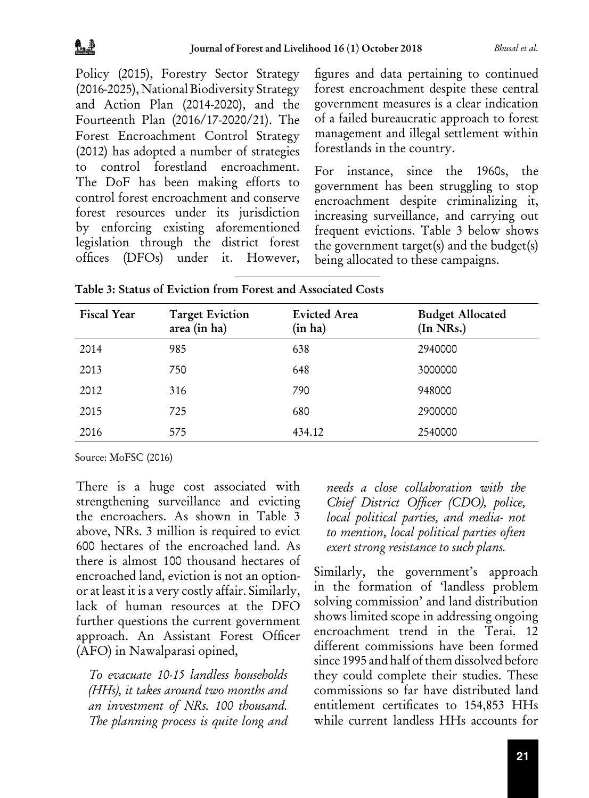Policy (2015), Forestry Sector Strategy (2016-2025), National Biodiversity Strategy and Action Plan (2014-2020), and the Fourteenth Plan (2016/17-2020/21). The Forest Encroachment Control Strategy (2012) has adopted a number of strategies to control forestland encroachment. The DoF has been making efforts to control forest encroachment and conserve forest resources under its jurisdiction by enforcing existing aforementioned legislation through the district forest offices (DFOs) under it. However,

figures and data pertaining to continued forest encroachment despite these central government measures is a clear indication of a failed bureaucratic approach to forest management and illegal settlement within forestlands in the country.

For instance, since the 1960s, the government has been struggling to stop encroachment despite criminalizing it, increasing surveillance, and carrying out frequent evictions. Table 3 below shows the government target(s) and the budget(s) being allocated to these campaigns.

| <b>Fiscal Year</b> | <b>Target Eviction</b><br>area (in ha) | <b>Evicted Area</b><br>(in ha) | <b>Budget Allocated</b><br>(In NRs.) |
|--------------------|----------------------------------------|--------------------------------|--------------------------------------|
| 2014               | 985                                    | 638                            | 2940000                              |
| 2013               | 750                                    | 648                            | 3000000                              |
| 2012               | 316                                    | 790                            | 948000                               |
| 2015               | 725                                    | 680                            | 2900000                              |
| 2016               | 575                                    | 434.12                         | 2540000                              |

Table 3: Status of Eviction from Forest and Associated Costs

Source: MoFSC (2016)

There is a huge cost associated with strengthening surveillance and evicting the encroachers. As shown in Table 3 above, NRs. 3 million is required to evict 600 hectares of the encroached land. As there is almost 100 thousand hectares of encroached land, eviction is not an optionor at least it is a very costly affair. Similarly, lack of human resources at the DFO further questions the current government approach. An Assistant Forest Officer (AFO) in Nawalparasi opined,

*To evacuate 10-15 landless households (HHs), it takes around two months and an investment of NRs. 100 thousand. The planning process is quite long and*  *needs a close collaboration with the Chief District Officer (CDO), police, local political parties, and media- not to mention, local political parties often exert strong resistance to such plans.* 

Similarly, the government's approach in the formation of 'landless problem solving commission' and land distribution shows limited scope in addressing ongoing encroachment trend in the Terai. 12 different commissions have been formed since 1995 and half of them dissolved before they could complete their studies. These commissions so far have distributed land entitlement certificates to 154,853 HHs while current landless HHs accounts for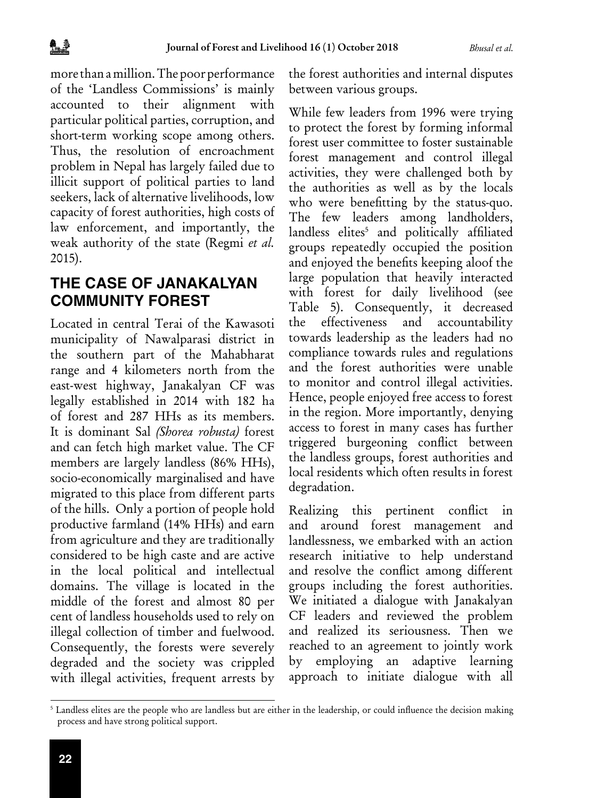more than a million. The poor performance of the 'Landless Commissions' is mainly accounted to their alignment with particular political parties, corruption, and short-term working scope among others. Thus, the resolution of encroachment problem in Nepal has largely failed due to illicit support of political parties to land seekers, lack of alternative livelihoods, low capacity of forest authorities, high costs of law enforcement, and importantly, the weak authority of the state (Regmi *et al.* 2015).

### **THE CASE OF JANAKALYAN COMMUNITY FOREST**

Located in central Terai of the Kawasoti municipality of Nawalparasi district in the southern part of the Mahabharat range and 4 kilometers north from the east-west highway, Janakalyan CF was legally established in 2014 with 182 ha of forest and 287 HHs as its members. It is dominant Sal *(Shorea robusta)* forest and can fetch high market value. The CF members are largely landless (86% HHs), socio-economically marginalised and have migrated to this place from different parts of the hills. Only a portion of people hold productive farmland (14% HHs) and earn from agriculture and they are traditionally considered to be high caste and are active in the local political and intellectual domains. The village is located in the middle of the forest and almost 80 per cent of landless households used to rely on illegal collection of timber and fuelwood. Consequently, the forests were severely degraded and the society was crippled with illegal activities, frequent arrests by

the forest authorities and internal disputes between various groups.

While few leaders from 1996 were trying to protect the forest by forming informal forest user committee to foster sustainable forest management and control illegal activities, they were challenged both by the authorities as well as by the locals who were benefitting by the status-quo. The few leaders among landholders, landless elites<sup>5</sup> and politically affiliated groups repeatedly occupied the position and enjoyed the benefits keeping aloof the large population that heavily interacted with forest for daily livelihood (see Table 5). Consequently, it decreased the effectiveness and accountability towards leadership as the leaders had no compliance towards rules and regulations and the forest authorities were unable to monitor and control illegal activities. Hence, people enjoyed free access to forest in the region. More importantly, denying access to forest in many cases has further triggered burgeoning conflict between the landless groups, forest authorities and local residents which often results in forest degradation.

Realizing this pertinent conflict in and around forest management and landlessness, we embarked with an action research initiative to help understand and resolve the conflict among different groups including the forest authorities. We initiated a dialogue with Janakalyan CF leaders and reviewed the problem and realized its seriousness. Then we reached to an agreement to jointly work by employing an adaptive learning approach to initiate dialogue with all

<sup>5</sup> Landless elites are the people who are landless but are either in the leadership, or could influence the decision making process and have strong political support.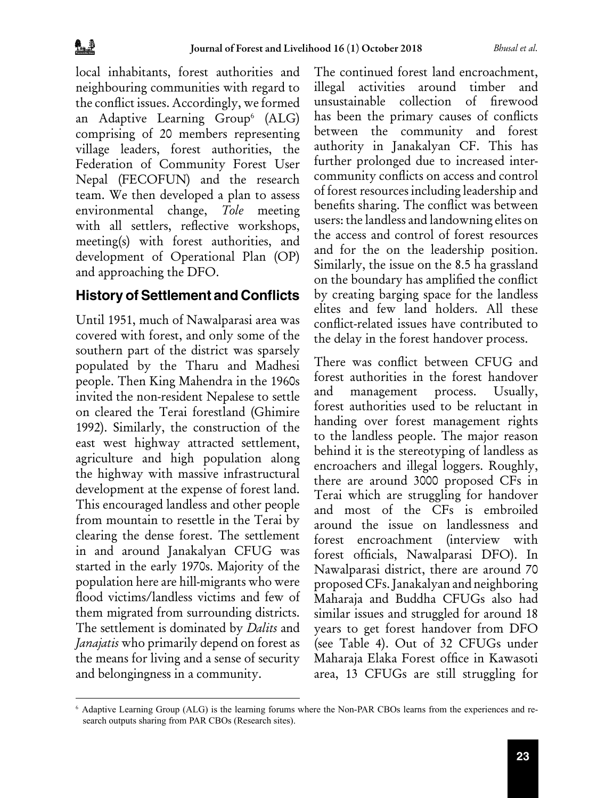local inhabitants, forest authorities and neighbouring communities with regard to the conflict issues. Accordingly, we formed an Adaptive Learning Group<sup>6</sup> (ALG) comprising of 20 members representing village leaders, forest authorities, the Federation of Community Forest User Nepal (FECOFUN) and the research team. We then developed a plan to assess environmental change, *Tole* meeting with all settlers, reflective workshops, meeting(s) with forest authorities, and development of Operational Plan (OP) and approaching the DFO.

### **History of Settlement and Conflicts**

Until 1951, much of Nawalparasi area was covered with forest, and only some of the southern part of the district was sparsely populated by the Tharu and Madhesi people. Then King Mahendra in the 1960s invited the non-resident Nepalese to settle on cleared the Terai forestland (Ghimire 1992). Similarly, the construction of the east west highway attracted settlement, agriculture and high population along the highway with massive infrastructural development at the expense of forest land. This encouraged landless and other people from mountain to resettle in the Terai by clearing the dense forest. The settlement in and around Janakalyan CFUG was started in the early 1970s. Majority of the population here are hill-migrants who were flood victims/landless victims and few of them migrated from surrounding districts. The settlement is dominated by *Dalits* and *Janajatis* who primarily depend on forest as the means for living and a sense of security and belongingness in a community.

The continued forest land encroachment, illegal activities around timber and unsustainable collection of firewood has been the primary causes of conflicts between the community and forest authority in Janakalyan CF. This has further prolonged due to increased intercommunity conflicts on access and control of forest resources including leadership and benefits sharing. The conflict was between users: the landless and landowning elites on the access and control of forest resources and for the on the leadership position. Similarly, the issue on the 8.5 ha grassland on the boundary has amplified the conflict by creating barging space for the landless elites and few land holders. All these conflict-related issues have contributed to the delay in the forest handover process.

There was conflict between CFUG and forest authorities in the forest handover and management process. Usually, forest authorities used to be reluctant in handing over forest management rights to the landless people. The major reason behind it is the stereotyping of landless as encroachers and illegal loggers. Roughly, there are around 3000 proposed CFs in Terai which are struggling for handover and most of the CFs is embroiled around the issue on landlessness and forest encroachment (interview with forest officials, Nawalparasi DFO). In Nawalparasi district, there are around 70 proposed CFs. Janakalyan and neighboring Maharaja and Buddha CFUGs also had similar issues and struggled for around 18 years to get forest handover from DFO (see Table 4). Out of 32 CFUGs under Maharaja Elaka Forest office in Kawasoti area, 13 CFUGs are still struggling for

<sup>6</sup> Adaptive Learning Group (ALG) is the learning forums where the Non-PAR CBOs learns from the experiences and research outputs sharing from PAR CBOs (Research sites).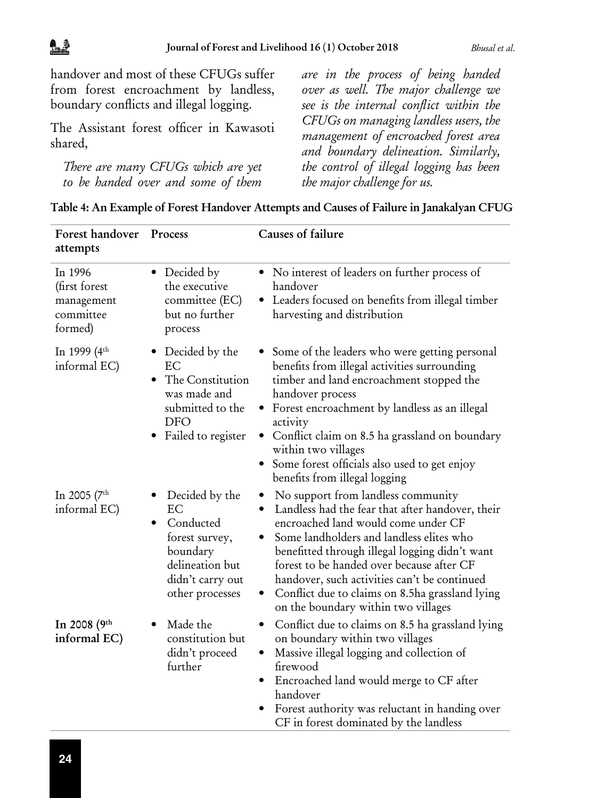handover and most of these CFUGs suffer from forest encroachment by landless, boundary conflicts and illegal logging.

The Assistant forest officer in Kawasoti shared,

*There are many CFUGs which are yet to be handed over and some of them*  *are in the process of being handed over as well. The major challenge we see is the internal conflict within the CFUGs on managing landless users, the management of encroached forest area and boundary delineation. Similarly, the control of illegal logging has been the major challenge for us.* 

| Table 4: An Example of Forest Handover Attempts and Causes of Failure in Janakalyan CFUG |  |  |
|------------------------------------------------------------------------------------------|--|--|
|------------------------------------------------------------------------------------------|--|--|

| Forest handover<br>attempts                                    | Process                                                                                                                   | Causes of failure                                                                                                                                                                                                                                                                                                                                                                                                                 |
|----------------------------------------------------------------|---------------------------------------------------------------------------------------------------------------------------|-----------------------------------------------------------------------------------------------------------------------------------------------------------------------------------------------------------------------------------------------------------------------------------------------------------------------------------------------------------------------------------------------------------------------------------|
| In 1996<br>(first forest<br>management<br>committee<br>formed) | • Decided by<br>the executive<br>committee (EC)<br>but no further<br>process                                              | • No interest of leaders on further process of<br>handover<br>• Leaders focused on benefits from illegal timber<br>harvesting and distribution                                                                                                                                                                                                                                                                                    |
| In 1999 (4 <sup>th</sup><br>informal EC)                       | • Decided by the<br>EC<br>The Constitution<br>٠<br>was made and<br>submitted to the<br>DFO<br>Failed to register          | Some of the leaders who were getting personal<br>benefits from illegal activities surrounding<br>timber and land encroachment stopped the<br>handover process<br>• Forest encroachment by landless as an illegal<br>activity<br>Conflict claim on 8.5 ha grassland on boundary<br>٠<br>within two villages<br>Some forest officials also used to get enjoy<br>benefits from illegal logging                                       |
| In 2005 ( $7th$<br>informal EC)                                | Decided by the<br>EС<br>Conducted<br>forest survey,<br>boundary<br>delineation but<br>didn't carry out<br>other processes | • No support from landless community<br>Landless had the fear that after handover, their<br>encroached land would come under CF<br>Some landholders and landless elites who<br>benefitted through illegal logging didn't want<br>forest to be handed over because after CF<br>handover, such activities can't be continued<br>Conflict due to claims on 8.5ha grassland lying<br>$\bullet$<br>on the boundary within two villages |
| In 2008 (9th<br>informal EC)                                   | Made the<br>constitution but<br>didn't proceed<br>further                                                                 | Conflict due to claims on 8.5 ha grassland lying<br>٠<br>on boundary within two villages<br>Massive illegal logging and collection of<br>$\bullet$<br>firewood<br>Encroached land would merge to CF after<br>handover<br>Forest authority was reluctant in handing over<br>CF in forest dominated by the landless                                                                                                                 |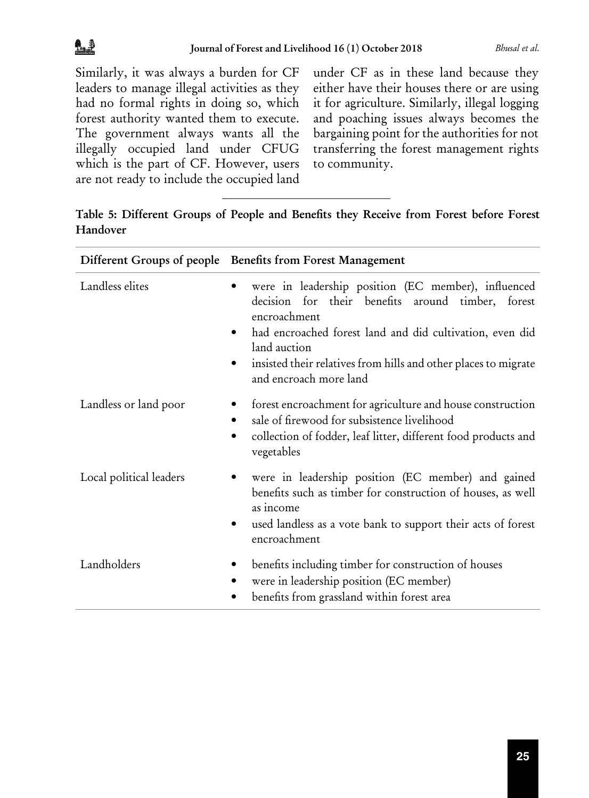Similarly, it was always a burden for CF leaders to manage illegal activities as they had no formal rights in doing so, which forest authority wanted them to execute. The government always wants all the illegally occupied land under CFUG which is the part of CF. However, users are not ready to include the occupied land

 $D^{\text{eff}}$  and  $G$  percent of people Benefits from

under CF as in these land because they either have their houses there or are using it for agriculture. Similarly, illegal logging and poaching issues always becomes the bargaining point for the authorities for not transferring the forest management rights to community.

| Table 5: Different Groups of People and Benefits they Receive from Forest before Forest |  |  |  |  |  |
|-----------------------------------------------------------------------------------------|--|--|--|--|--|
| Handover                                                                                |  |  |  |  |  |

|                         | Different Groups of people Benefits from Forest Management                                                                                                                                                                                                                                                     |
|-------------------------|----------------------------------------------------------------------------------------------------------------------------------------------------------------------------------------------------------------------------------------------------------------------------------------------------------------|
| Landless elites         | were in leadership position (EC member), influenced<br>decision for their benefits around timber, forest<br>encroachment<br>had encroached forest land and did cultivation, even did<br>$\bullet$<br>land auction<br>insisted their relatives from hills and other places to migrate<br>and encroach more land |
| Landless or land poor   | forest encroachment for agriculture and house construction<br>sale of firewood for subsistence livelihood<br>٠<br>collection of fodder, leaf litter, different food products and<br>٠<br>vegetables                                                                                                            |
| Local political leaders | were in leadership position (EC member) and gained<br>benefits such as timber for construction of houses, as well<br>as income<br>used landless as a vote bank to support their acts of forest<br>٠<br>encroachment                                                                                            |
| Landholders             | benefits including timber for construction of houses<br>were in leadership position (EC member)<br>benefits from grassland within forest area                                                                                                                                                                  |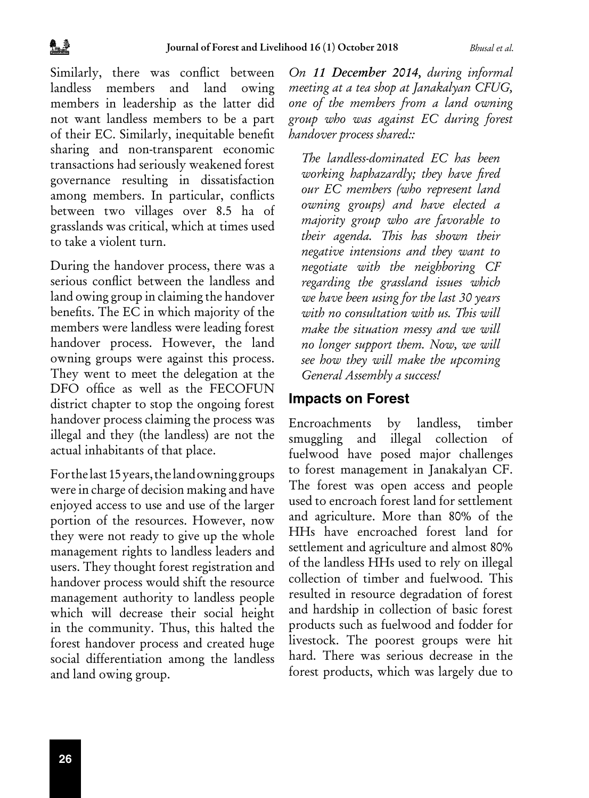Similarly, there was conflict between landless members and land owing members in leadership as the latter did not want landless members to be a part of their EC. Similarly, inequitable benefit sharing and non-transparent economic transactions had seriously weakened forest governance resulting in dissatisfaction among members. In particular, conflicts between two villages over 8.5 ha of grasslands was critical, which at times used to take a violent turn.

During the handover process, there was a serious conflict between the landless and land owing group in claiming the handover benefits. The EC in which majority of the members were landless were leading forest handover process. However, the land owning groups were against this process. They went to meet the delegation at the DFO office as well as the FECOFUN district chapter to stop the ongoing forest handover process claiming the process was illegal and they (the landless) are not the actual inhabitants of that place.

For the last 15 years, the land owning groups were in charge of decision making and have enjoyed access to use and use of the larger portion of the resources. However, now they were not ready to give up the whole management rights to landless leaders and users. They thought forest registration and handover process would shift the resource management authority to landless people which will decrease their social height in the community. Thus, this halted the forest handover process and created huge social differentiation among the landless and land owing group.

*On 11 December 2014, during informal meeting at a tea shop at Janakalyan CFUG, one of the members from a land owning group who was against EC during forest handover process shared::*

*The landless-dominated EC has been working haphazardly; they have fired our EC members (who represent land owning groups) and have elected a majority group who are favorable to their agenda. This has shown their negative intensions and they want to negotiate with the neighboring CF regarding the grassland issues which we have been using for the last 30 years with no consultation with us. This will make the situation messy and we will no longer support them. Now, we will see how they will make the upcoming General Assembly a success!*

### **Impacts on Forest**

Encroachments by landless, timber smuggling and illegal collection of fuelwood have posed major challenges to forest management in Janakalyan CF. The forest was open access and people used to encroach forest land for settlement and agriculture. More than 80% of the HHs have encroached forest land for settlement and agriculture and almost 80% of the landless HHs used to rely on illegal collection of timber and fuelwood. This resulted in resource degradation of forest and hardship in collection of basic forest products such as fuelwood and fodder for livestock. The poorest groups were hit hard. There was serious decrease in the forest products, which was largely due to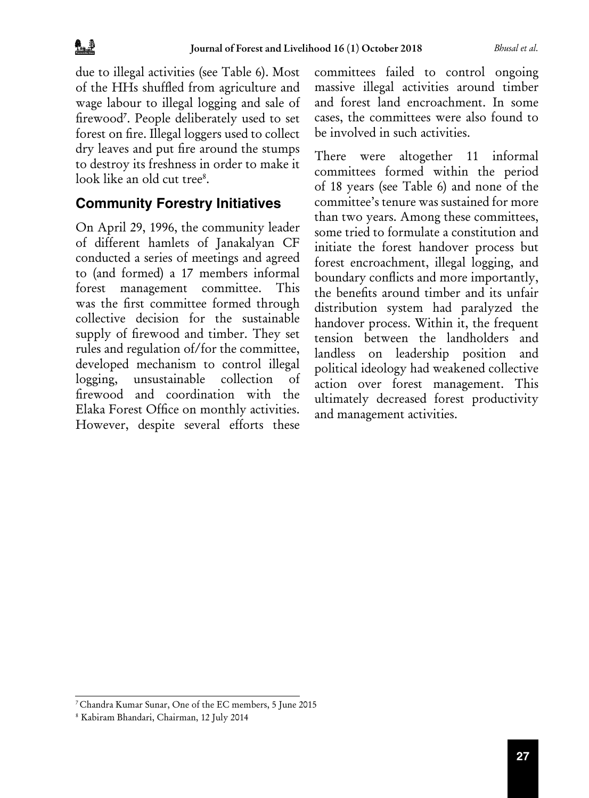due to illegal activities (see Table 6). Most of the HHs shuffled from agriculture and wage labour to illegal logging and sale of firewood<sup>7</sup> . People deliberately used to set forest on fire. Illegal loggers used to collect dry leaves and put fire around the stumps to destroy its freshness in order to make it look like an old cut tree8 .

### **Community Forestry Initiatives**

On April 29, 1996, the community leader of different hamlets of Janakalyan CF conducted a series of meetings and agreed to (and formed) a 17 members informal forest management committee. This was the first committee formed through collective decision for the sustainable supply of firewood and timber. They set rules and regulation of/for the committee, developed mechanism to control illegal logging, unsustainable collection of firewood and coordination with the Elaka Forest Office on monthly activities. However, despite several efforts these

committees failed to control ongoing massive illegal activities around timber and forest land encroachment. In some cases, the committees were also found to be involved in such activities.

There were altogether 11 informal committees formed within the period of 18 years (see Table 6) and none of the committee's tenure was sustained for more than two years. Among these committees, some tried to formulate a constitution and initiate the forest handover process but forest encroachment, illegal logging, and boundary conflicts and more importantly, the benefits around timber and its unfair distribution system had paralyzed the handover process. Within it, the frequent tension between the landholders and landless on leadership position and political ideology had weakened collective action over forest management. This ultimately decreased forest productivity and management activities.

<sup>7</sup>Chandra Kumar Sunar, One of the EC members, 5 June 2015

<sup>8</sup>Kabiram Bhandari, Chairman, 12 July 2014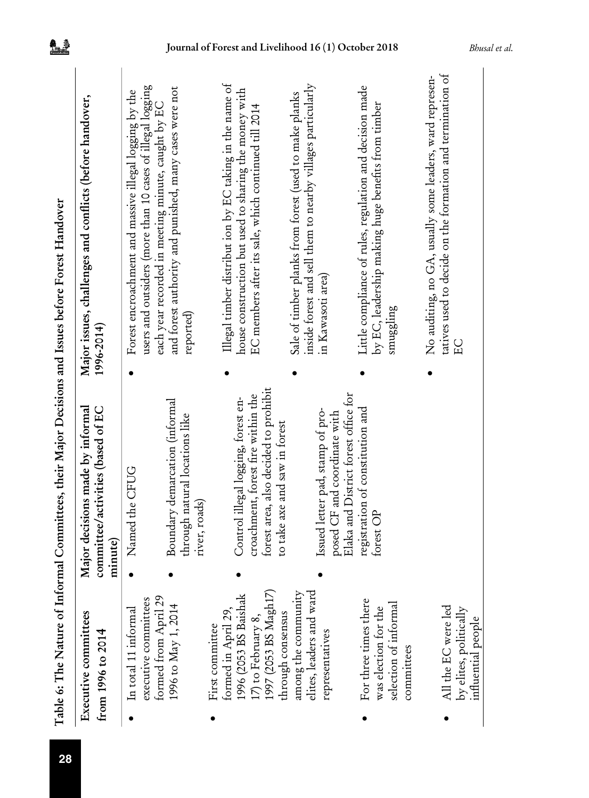|                                                                  | Table 6: The Nature of Informal Committees, their Major Decisions and Issues before Forest Handover                |                                                                                                                                                                           |
|------------------------------------------------------------------|--------------------------------------------------------------------------------------------------------------------|---------------------------------------------------------------------------------------------------------------------------------------------------------------------------|
| Executive committees<br>from 1996 to 2014                        | Major decisions made by informal<br>committee/activities (based of EC<br>minute)                                   | Major issues, challenges and conflicts (before handover,<br>1996-2014)                                                                                                    |
| executive committees<br>In total 11 informal                     | Named the CFUG                                                                                                     | users and outsiders (more than 10 cases of illegal logging<br>Forest encroachment and massive illegal logging by the                                                      |
| formed from April 29<br>1996 to May 1, 2014                      | Boundary demarcation (informal<br>through natural locations like<br>river, roads)                                  | and forest authority and punished, many cases were not<br>each year recorded in meeting minute, caught by EC<br>reported)                                                 |
| First committee                                                  |                                                                                                                    |                                                                                                                                                                           |
| 996 (2053 BS Baishak<br>formed in April 29<br>I7) to February 8, | torest area, also decided to prohibit<br>croachment, forest fire within the<br>Control illegal logging, forest en- | Illegal timber distribut ion by EC taking in the name of<br>house construction but used to sharing the money with<br>EC members after its sale, which continued till 2014 |
| (997 (2053 BS Magh17)<br>through consensus                       | to take axe and saw in forest                                                                                      |                                                                                                                                                                           |
| among the community<br>elites, leaders and ward                  | Issued letter pad, stamp of pro-                                                                                   | inside forest and sell them to nearby villages particularly<br>Sale of timber planks from forest (used to make planks<br>in Kawasoti area)                                |
| representatives                                                  | Elaka and District forest office for<br>posed CF and coordinate with                                               |                                                                                                                                                                           |
| For three times there<br>was election for the                    | registration of constitution and<br>torest OP                                                                      | Little compliance of rules, regulation and decision made<br>by EC, leadership making huge benefits from timber                                                            |
| selection of informal<br>committees                              |                                                                                                                    | $\frac{1}{2}$                                                                                                                                                             |
|                                                                  |                                                                                                                    | No auditing, no GA, usually some leaders, ward represen-                                                                                                                  |
| All the EC were led                                              |                                                                                                                    | tatives used to decide on the formation and termination of<br>EC<br>E                                                                                                     |
| by elites, politically<br>influential people                     |                                                                                                                    |                                                                                                                                                                           |

乳糖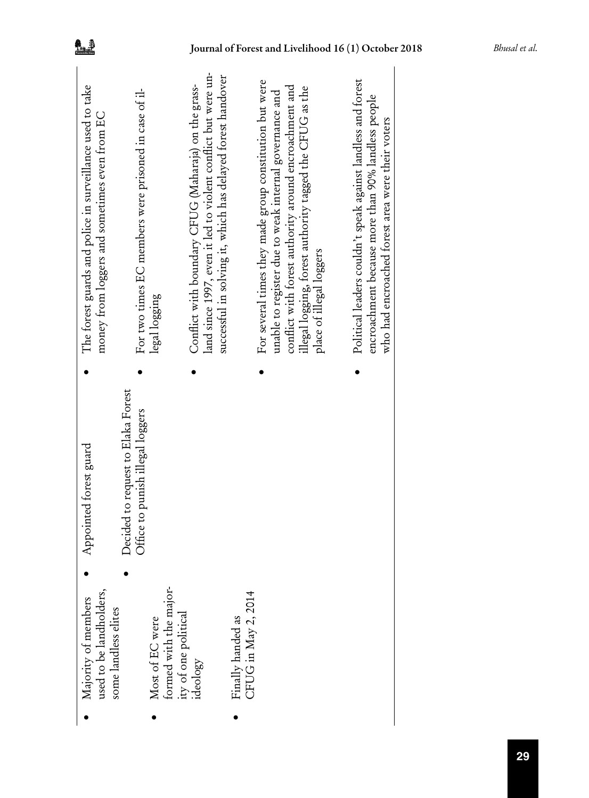| The forest guards and police in surveillance used to take<br>money from loggers and sometimes even from EC | For two times EC members were prisoned in case of il-<br>legal logging | land since 1997, even it led to violent conflict but were un-<br>successful in solving it, which has delayed forest handover<br>Conflict with boundary CFUG (Maharaja) on the grass- | For several times they made group constitution but were<br>conflict with forest authority around encroachment and<br>illegal logging, forest authority tagged the CFUG as the<br>unable to register due to weak internal governance and<br>place of illegal loggers | Political leaders couldn't speak against landless and forest<br>encroachment because more than 90% landless people |
|------------------------------------------------------------------------------------------------------------|------------------------------------------------------------------------|--------------------------------------------------------------------------------------------------------------------------------------------------------------------------------------|---------------------------------------------------------------------------------------------------------------------------------------------------------------------------------------------------------------------------------------------------------------------|--------------------------------------------------------------------------------------------------------------------|
|                                                                                                            |                                                                        |                                                                                                                                                                                      |                                                                                                                                                                                                                                                                     |                                                                                                                    |
|                                                                                                            | Decided to request to Elaka Forest<br>Office to punish illegal loggers |                                                                                                                                                                                      |                                                                                                                                                                                                                                                                     |                                                                                                                    |
|                                                                                                            |                                                                        |                                                                                                                                                                                      |                                                                                                                                                                                                                                                                     |                                                                                                                    |
| Majority of members<br>used to be landholders,<br>some landless elites                                     | formed with the major-<br>Most of EC were                              | ity of one political<br>ideology                                                                                                                                                     | Finally handed as<br>CFUG in May 2, 2014                                                                                                                                                                                                                            |                                                                                                                    |
|                                                                                                            |                                                                        |                                                                                                                                                                                      |                                                                                                                                                                                                                                                                     |                                                                                                                    |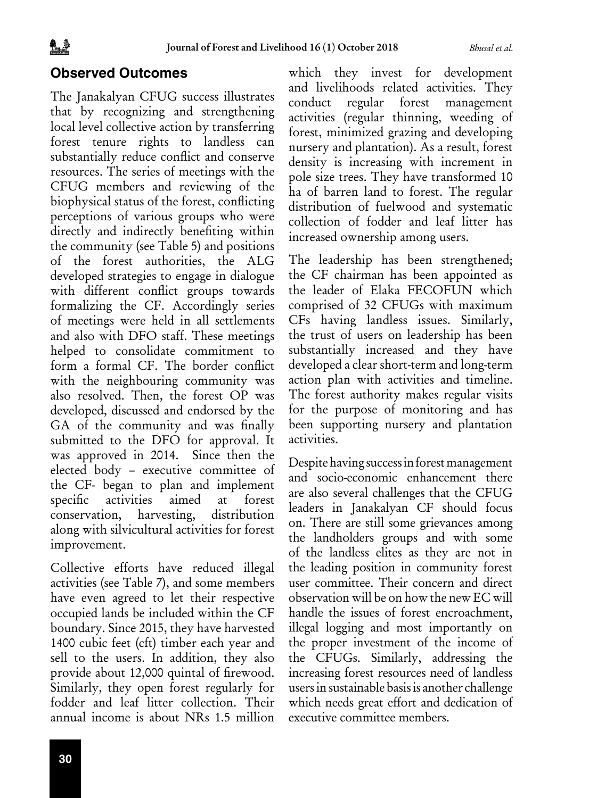### **Observed Outcomes**

The Janakalyan CFUG success illustrates that by recognizing and strengthening local level collective action by transferring forest tenure rights to landless can substantially reduce conflict and conserve resources. The series of meetings with the CFUG members and reviewing of the biophysical status of the forest, conflicting perceptions of various groups who were directly and indirectly benefiting within the community (see Table 5) and positions of the forest authorities, the ALG developed strategies to engage in dialogue with different conflict groups towards formalizing the CF. Accordingly series of meetings were held in all settlements and also with DFO staff. These meetings helped to consolidate commitment to form a formal CF. The border conflict with the neighbouring community was also resolved. Then, the forest OP was developed, discussed and endorsed by the GA of the community and was finally submitted to the DFO for approval. It was approved in 2014. Since then the elected body – executive committee of the CF- began to plan and implement specific activities aimed at forest conservation, harvesting, distribution along with silvicultural activities for forest improvement.

Collective efforts have reduced illegal activities (see Table 7), and some members have even agreed to let their respective occupied lands be included within the CF boundary. Since 2015, they have harvested 1400 cubic feet (cft) timber each year and sell to the users. In addition, they also provide about 12,000 quintal of firewood. Similarly, they open forest regularly for fodder and leaf litter collection. Their annual income is about NRs 1.5 million

which they invest for development and livelihoods related activities. They conduct regular forest management activities (regular thinning, weeding of forest, minimized grazing and developing nursery and plantation). As a result, forest density is increasing with increment in pole size trees. They have transformed 10 ha of barren land to forest. The regular distribution of fuelwood and systematic collection of fodder and leaf litter has increased ownership among users.

The leadership has been strengthened; the CF chairman has been appointed as the leader of Elaka FECOFUN which comprised of 32 CFUGs with maximum CFs having landless issues. Similarly, the trust of users on leadership has been substantially increased and they have developed a clear short-term and long-term action plan with activities and timeline. The forest authority makes regular visits for the purpose of monitoring and has been supporting nursery and plantation activities.

Despite having success in forest management and socio-economic enhancement there are also several challenges that the CFUG leaders in Janakalyan CF should focus on. There are still some grievances among the landholders groups and with some of the landless elites as they are not in the leading position in community forest user committee. Their concern and direct observation will be on how the new EC will handle the issues of forest encroachment, illegal logging and most importantly on the proper investment of the income of the CFUGs. Similarly, addressing the increasing forest resources need of landless users in sustainable basis is another challenge which needs great effort and dedication of executive committee members.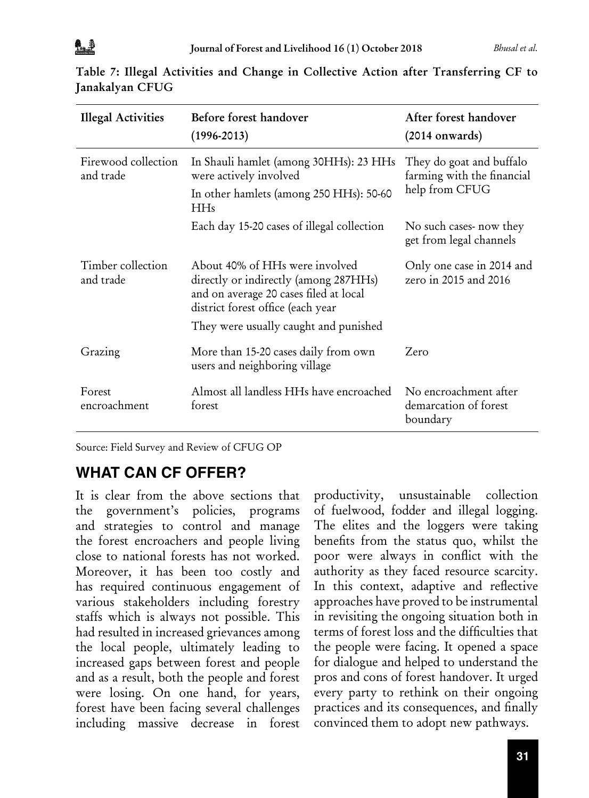| <b>Illegal Activities</b>        | Before forest handover<br>$(1996 - 2013)$                                                                                                              | After forest handover<br>$(2014$ onwards)                  |  |  |
|----------------------------------|--------------------------------------------------------------------------------------------------------------------------------------------------------|------------------------------------------------------------|--|--|
| Firewood collection<br>and trade | In Shauli hamlet (among 30HHs): 23 HHs<br>were actively involved                                                                                       | They do goat and buffalo<br>farming with the financial     |  |  |
|                                  | In other hamlets (among 250 HHs): 50-60<br><b>HHs</b>                                                                                                  | help from CFUG                                             |  |  |
|                                  | Each day 15-20 cases of illegal collection                                                                                                             | No such cases-now they<br>get from legal channels          |  |  |
| Timber collection<br>and trade   | About 40% of HHs were involved<br>directly or indirectly (among 287HHs)<br>and on average 20 cases filed at local<br>district forest office (each year | Only one case in 2014 and<br>zero in 2015 and 2016         |  |  |
|                                  | They were usually caught and punished                                                                                                                  |                                                            |  |  |
| Grazing                          | More than 15-20 cases daily from own<br>users and neighboring village                                                                                  | Zero                                                       |  |  |
| Forest<br>encroachment           | Almost all landless HHs have encroached<br>torest                                                                                                      | No encroachment after<br>demarcation of forest<br>boundary |  |  |

| Table 7: Illegal Activities and Change in Collective Action after Transferring CF to |  |  |  |  |  |  |
|--------------------------------------------------------------------------------------|--|--|--|--|--|--|
| Janakalyan CFUG                                                                      |  |  |  |  |  |  |

Source: Field Survey and Review of CFUG OP

## **WHAT CAN CF OFFER?**

It is clear from the above sections that the government's policies, programs and strategies to control and manage the forest encroachers and people living close to national forests has not worked. Moreover, it has been too costly and has required continuous engagement of various stakeholders including forestry staffs which is always not possible. This had resulted in increased grievances among the local people, ultimately leading to increased gaps between forest and people and as a result, both the people and forest were losing. On one hand, for years, forest have been facing several challenges including massive decrease in forest

productivity, unsustainable collection of fuelwood, fodder and illegal logging. The elites and the loggers were taking benefits from the status quo, whilst the poor were always in conflict with the authority as they faced resource scarcity. In this context, adaptive and reflective approaches have proved to be instrumental in revisiting the ongoing situation both in terms of forest loss and the difficulties that the people were facing. It opened a space for dialogue and helped to understand the pros and cons of forest handover. It urged every party to rethink on their ongoing practices and its consequences, and finally convinced them to adopt new pathways.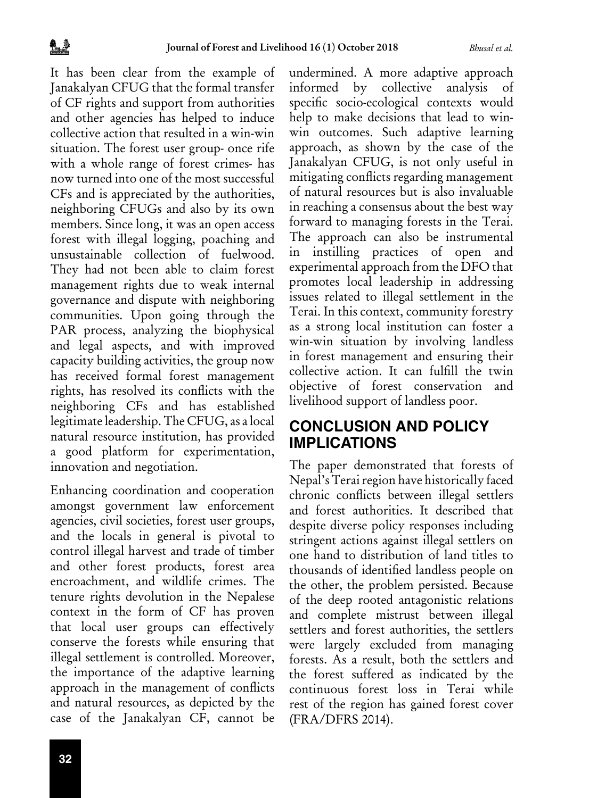It has been clear from the example of Janakalyan CFUG that the formal transfer of CF rights and support from authorities and other agencies has helped to induce collective action that resulted in a win-win situation. The forest user group- once rife with a whole range of forest crimes- has now turned into one of the most successful CFs and is appreciated by the authorities, neighboring CFUGs and also by its own members. Since long, it was an open access forest with illegal logging, poaching and unsustainable collection of fuelwood. They had not been able to claim forest management rights due to weak internal governance and dispute with neighboring communities. Upon going through the PAR process, analyzing the biophysical and legal aspects, and with improved capacity building activities, the group now has received formal forest management rights, has resolved its conflicts with the neighboring CFs and has established legitimate leadership. The CFUG, as a local natural resource institution, has provided a good platform for experimentation, innovation and negotiation.

Enhancing coordination and cooperation amongst government law enforcement agencies, civil societies, forest user groups, and the locals in general is pivotal to control illegal harvest and trade of timber and other forest products, forest area encroachment, and wildlife crimes. The tenure rights devolution in the Nepalese context in the form of CF has proven that local user groups can effectively conserve the forests while ensuring that illegal settlement is controlled. Moreover, the importance of the adaptive learning approach in the management of conflicts and natural resources, as depicted by the case of the Janakalyan CF, cannot be

**32**

undermined. A more adaptive approach informed by collective analysis of specific socio-ecological contexts would help to make decisions that lead to winwin outcomes. Such adaptive learning approach, as shown by the case of the Janakalyan CFUG, is not only useful in mitigating conflicts regarding management of natural resources but is also invaluable in reaching a consensus about the best way forward to managing forests in the Terai. The approach can also be instrumental in instilling practices of open and experimental approach from the DFO that promotes local leadership in addressing issues related to illegal settlement in the Terai. In this context, community forestry as a strong local institution can foster a win-win situation by involving landless in forest management and ensuring their collective action. It can fulfill the twin objective of forest conservation and livelihood support of landless poor.

### **CONCLUSION AND POLICY IMPLICATIONS**

The paper demonstrated that forests of Nepal's Terai region have historically faced chronic conflicts between illegal settlers and forest authorities. It described that despite diverse policy responses including stringent actions against illegal settlers on one hand to distribution of land titles to thousands of identified landless people on the other, the problem persisted. Because of the deep rooted antagonistic relations and complete mistrust between illegal settlers and forest authorities, the settlers were largely excluded from managing forests. As a result, both the settlers and the forest suffered as indicated by the continuous forest loss in Terai while rest of the region has gained forest cover (FRA/DFRS 2014).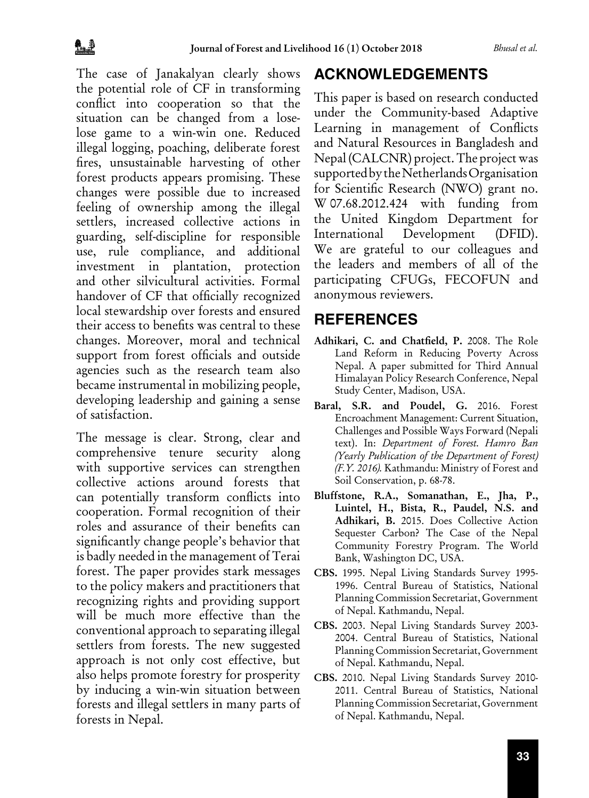The case of Janakalyan clearly shows the potential role of CF in transforming conflict into cooperation so that the situation can be changed from a loselose game to a win-win one. Reduced illegal logging, poaching, deliberate forest fires, unsustainable harvesting of other forest products appears promising. These changes were possible due to increased feeling of ownership among the illegal settlers, increased collective actions in guarding, self-discipline for responsible use, rule compliance, and additional investment in plantation, protection and other silvicultural activities. Formal handover of CF that officially recognized local stewardship over forests and ensured their access to benefits was central to these changes. Moreover, moral and technical support from forest officials and outside agencies such as the research team also became instrumental in mobilizing people, developing leadership and gaining a sense of satisfaction.

The message is clear. Strong, clear and comprehensive tenure security along with supportive services can strengthen collective actions around forests that can potentially transform conflicts into cooperation. Formal recognition of their roles and assurance of their benefits can significantly change people's behavior that is badly needed in the management of Terai forest. The paper provides stark messages to the policy makers and practitioners that recognizing rights and providing support will be much more effective than the conventional approach to separating illegal settlers from forests. The new suggested approach is not only cost effective, but also helps promote forestry for prosperity by inducing a win-win situation between forests and illegal settlers in many parts of forests in Nepal.

### **ACKNOWLEDGEMENTS**

This paper is based on research conducted under the Community-based Adaptive Learning in management of Conflicts and Natural Resources in Bangladesh and Nepal (CALCNR) project. The project was supported by the Netherlands Organisation for Scientific Research (NWO) grant no. W 07.68.2012.424 with funding from the United Kingdom Department for International Development (DFID). We are grateful to our colleagues and the leaders and members of all of the participating CFUGs, FECOFUN and anonymous reviewers.

### **REFERENCES**

- Adhikari, C. and Chatfield, P. 2008. The Role Land Reform in Reducing Poverty Across Nepal. A paper submitted for Third Annual Himalayan Policy Research Conference, Nepal Study Center, Madison, USA.
- Baral, S.R. and Poudel, G. 2016. Forest Encroachment Management: Current Situation, Challenges and Possible Ways Forward (Nepali text). In: *Department of Forest. Hamro Ban (Yearly Publication of the Department of Forest) (F.Y. 2016).* Kathmandu: Ministry of Forest and Soil Conservation, p. 68-78.
- Bluffstone, R.A., Somanathan, E., Jha, P., Luintel, H., Bista, R., Paudel, N.S. and Adhikari, B. 2015. Does Collective Action Sequester Carbon? The Case of the Nepal Community Forestry Program. The World Bank, Washington DC, USA.
- CBS. 1995. Nepal Living Standards Survey 1995- 1996. Central Bureau of Statistics, National Planning Commission Secretariat, Government of Nepal. Kathmandu, Nepal.
- CBS. 2003. Nepal Living Standards Survey 2003- 2004. Central Bureau of Statistics, National Planning Commission Secretariat, Government of Nepal. Kathmandu, Nepal.
- CBS. 2010. Nepal Living Standards Survey 2010- 2011. Central Bureau of Statistics, National Planning Commission Secretariat, Government of Nepal. Kathmandu, Nepal.